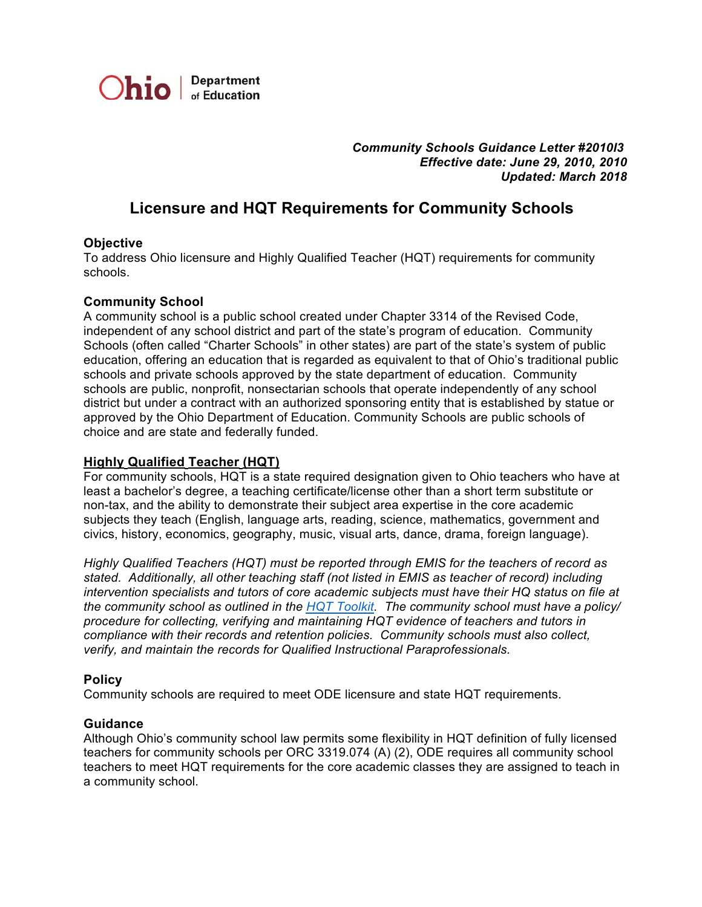

 *Community Schools Guidance Letter #2010l3 Effective date: June 29, 2010, 2010 Updated: March 2018*

# **Licensure and HQT Requirements for Community Schools**

#### **Objective**

 To address Ohio licensure and Highly Qualified Teacher (HQT) requirements for community schools.

#### **Community School**

 A community school is a public school created under Chapter 3314 of the Revised Code, independent of any school district and part of the state's program of education. Community Schools (often called "Charter Schools" in other states) are part of the state's system of public education, offering an education that is regarded as equivalent to that of Ohio's traditional public schools and private schools approved by the state department of education. Community schools are public, nonprofit, nonsectarian schools that operate independently of any school district but under a contract with an authorized sponsoring entity that is established by statue or approved by the Ohio Department of Education. Community Schools are public schools of choice and are state and federally funded.

## **Highly [Qualified](http://education.ohio.gov/Topics/School-Improvement/Federal-Programs/Elementary-and-Secondary-Education-Act/Highly-Qualified-Teacher-HQT-Toolkit) Teacher (HQT)**

 For community schools, HQT is a state required designation given to Ohio teachers who have at least a bachelor's degree, a teaching certificate/license other than a short term substitute or subjects they teach (English, language arts, reading, science, mathematics, government and civics, history, economics, geography, music, visual arts, dance, drama, foreign language). non-tax, and the ability to demonstrate their subject area expertise in the core academic

 *Highly Qualified Teachers (HQT) must be reported through EMIS for the teachers of record as stated. Additionally, all other teaching staff (not listed in EMIS as teacher of record) including intervention specialists and tutors of core academic subjects must have their HQ status on file at procedure for collecting, verifying and maintaining HQT evidence of teachers and tutors in compliance with their records and retention policies. Community schools must also collect, verify, and maintain the records for Qualified Instructional Paraprofessionals. the community school as outlined in the HQT [Toolkit](http://education.ohio.gov/getattachment/Topics/Teaching/Educator-Equity/Highly-Qualified-Teacher-HQT-Toolkit/2017-18-HQT-toolkit.pdf.aspx). The community school must have a policy/*

## **Policy**

Community schools are required to meet ODE licensure and state HQT requirements.

#### **Guidance**

 Although Ohio's community school law permits some flexibility in HQT definition of fully licensed teachers to meet HQT requirements for the core academic classes they are assigned to teach in a community school.teachers for community schools per ORC 3319.074 (A) (2), ODE requires all community school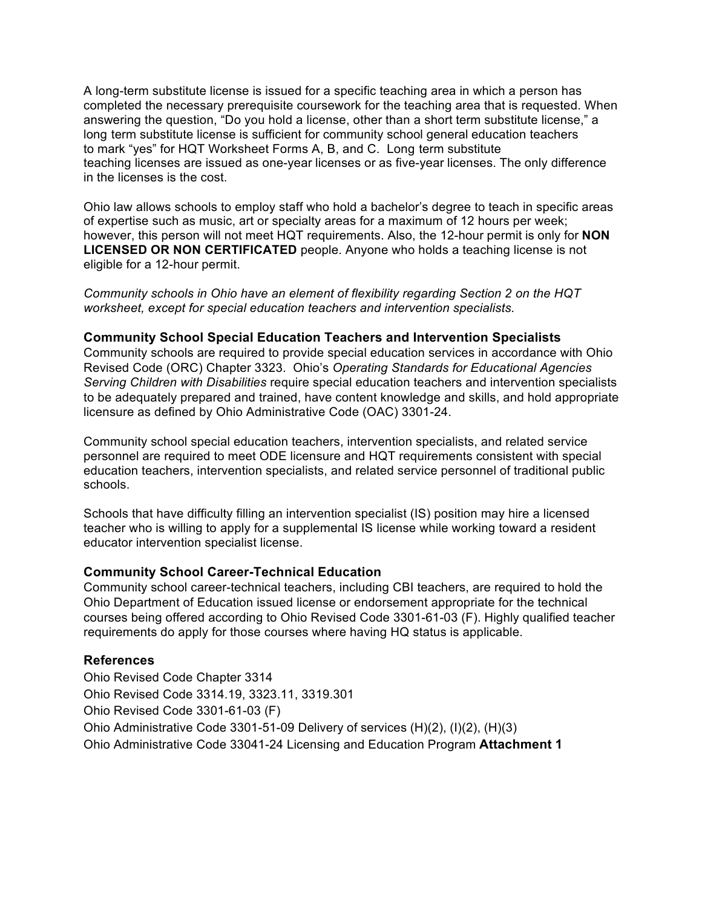completed the necessary prerequisite coursework for the teaching area that is requested. When answering the question, "Do you hold a license, other than a short term substitute license," a to mark "yes" for HQT Worksheet Forms A, B, and C. Long term substitute teaching licenses are issued as one-year licenses or as five-year licenses. The only difference in the licenses is the cost. A long-term substitute license is issued for a specific teaching area in which a person has long term substitute license is sufficient for community school general education teachers

 Ohio law allows schools to employ staff who hold a bachelor's degree to teach in specific areas of expertise such as music, art or specialty areas for a maximum of 12 hours per week; however, this person will not meet HQT requirements. Also, the 12-hour permit is only for **NON LICENSED OR NON CERTIFICATED** people. Anyone who holds a teaching license is not eligible for a 12-hour permit.

 *Community schools in Ohio have an element of flexibility regarding Section 2 on the HQT worksheet, except for special education teachers and intervention specialists.*

#### **Community School Special Education Teachers and Intervention Specialists**

 Community schools are required to provide special education services in accordance with Ohio Revised Code (ORC) Chapter 3323. Ohio's *Operating Standards for Educational Agencies Serving Children with Disabilities* require special education teachers and intervention specialists licensure as defined by Ohio Administrative Code (OAC) 3301-24. to be adequately prepared and trained, have content knowledge and skills, and hold appropriate

 Community school special education teachers, intervention specialists, and related service personnel are required to meet ODE licensure and HQT requirements consistent with special education teachers, intervention specialists, and related service personnel of traditional public schools.

 Schools that have difficulty filling an intervention specialist (IS) position may hire a licensed teacher who is willing to apply for a supplemental IS license while working toward a resident educator intervention specialist license.

#### **Community School Career-Technical Education**

 Community school career-technical teachers, including CBI teachers, are required to hold the Ohio Department of Education issued license or endorsement appropriate for the technical courses being offered according to Ohio Revised Code 3301-61-03 (F). Highly qualified teacher requirements do apply for those courses where having HQ status is applicable.

#### **References**

 Ohio Revised Code Chapter 3314 Ohio Revised Code 3314.19, 3323.11, 3319.301 Ohio Revised Code 3301-61-03 (F) Ohio Administrative Code 3301-51-09 Delivery of services (H)(2), (I)(2), (H)(3) Ohio Administrative Code 33041-24 Licensing and Education Program **Attachment 1**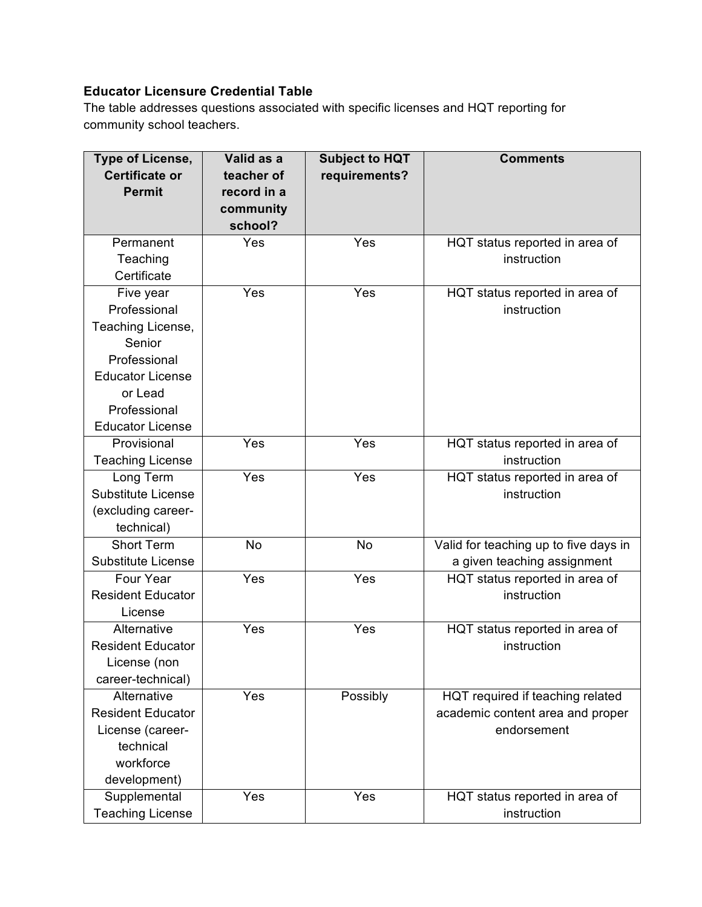# **Educator Licensure Credential Table**

 The table addresses questions associated with specific licenses and HQT reporting for community school teachers.

| <b>Type of License,</b>   | Valid as a  | <b>Subject to HQT</b> | <b>Comments</b>                       |
|---------------------------|-------------|-----------------------|---------------------------------------|
| <b>Certificate or</b>     | teacher of  | requirements?         |                                       |
| <b>Permit</b>             | record in a |                       |                                       |
|                           | community   |                       |                                       |
|                           | school?     |                       |                                       |
| Permanent                 | Yes         | Yes                   | HQT status reported in area of        |
| Teaching                  |             |                       | instruction                           |
| Certificate               |             |                       |                                       |
| Five year                 | Yes         | Yes                   | HQT status reported in area of        |
| Professional              |             |                       | instruction                           |
| Teaching License,         |             |                       |                                       |
| Senior                    |             |                       |                                       |
| Professional              |             |                       |                                       |
| <b>Educator License</b>   |             |                       |                                       |
| or Lead                   |             |                       |                                       |
| Professional              |             |                       |                                       |
| <b>Educator License</b>   |             |                       |                                       |
| Provisional               | Yes         | Yes                   | HQT status reported in area of        |
| <b>Teaching License</b>   |             |                       | instruction                           |
| Long Term                 | Yes         | Yes                   | HQT status reported in area of        |
| <b>Substitute License</b> |             |                       | instruction                           |
| (excluding career-        |             |                       |                                       |
| technical)                |             |                       |                                       |
| <b>Short Term</b>         | <b>No</b>   | <b>No</b>             | Valid for teaching up to five days in |
| <b>Substitute License</b> |             |                       | a given teaching assignment           |
| Four Year                 | Yes         | Yes                   | HQT status reported in area of        |
| <b>Resident Educator</b>  |             |                       | instruction                           |
| License                   |             |                       |                                       |
| Alternative               | Yes         | Yes                   | HQT status reported in area of        |
| <b>Resident Educator</b>  |             |                       | instruction                           |
| License (non              |             |                       |                                       |
| career-technical)         |             |                       |                                       |
| Alternative               | Yes         | Possibly              | HQT required if teaching related      |
| <b>Resident Educator</b>  |             |                       | academic content area and proper      |
| License (career-          |             |                       | endorsement                           |
| technical                 |             |                       |                                       |
| workforce                 |             |                       |                                       |
| development)              |             |                       |                                       |
| Supplemental              | Yes         | Yes                   | HQT status reported in area of        |
| <b>Teaching License</b>   |             |                       | instruction                           |